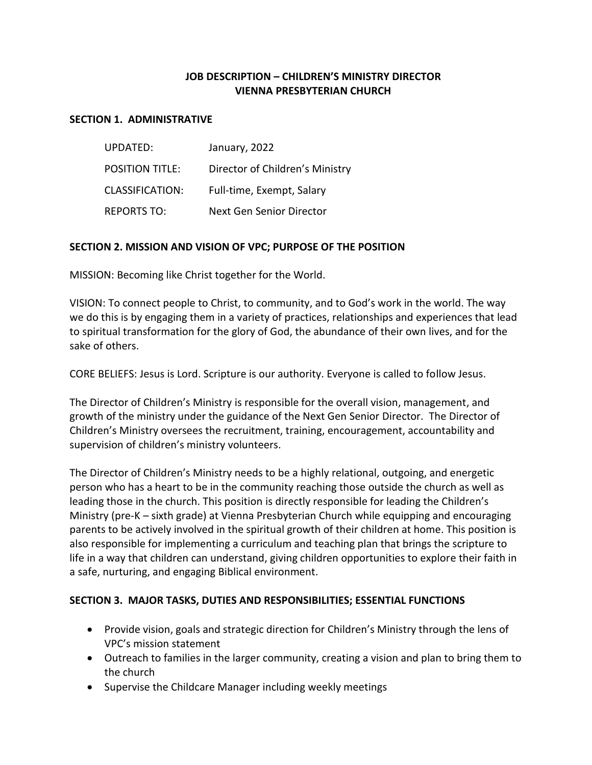## **JOB DESCRIPTION – CHILDREN'S MINISTRY DIRECTOR VIENNA PRESBYTERIAN CHURCH**

#### **SECTION 1. ADMINISTRATIVE**

| UPDATED:               | January, 2022                   |
|------------------------|---------------------------------|
| <b>POSITION TITLE:</b> | Director of Children's Ministry |
| <b>CLASSIFICATION:</b> | Full-time, Exempt, Salary       |
| <b>REPORTS TO:</b>     | Next Gen Senior Director        |

### **SECTION 2. MISSION AND VISION OF VPC; PURPOSE OF THE POSITION**

MISSION: Becoming like Christ together for the World.

VISION: To connect people to Christ, to community, and to God's work in the world. The way we do this is by engaging them in a variety of practices, relationships and experiences that lead to spiritual transformation for the glory of God, the abundance of their own lives, and for the sake of others.

CORE BELIEFS: Jesus is Lord. Scripture is our authority. Everyone is called to follow Jesus.

The Director of Children's Ministry is responsible for the overall vision, management, and growth of the ministry under the guidance of the Next Gen Senior Director. The Director of Children's Ministry oversees the recruitment, training, encouragement, accountability and supervision of children's ministry volunteers.

The Director of Children's Ministry needs to be a highly relational, outgoing, and energetic person who has a heart to be in the community reaching those outside the church as well as leading those in the church. This position is directly responsible for leading the Children's Ministry (pre-K – sixth grade) at Vienna Presbyterian Church while equipping and encouraging parents to be actively involved in the spiritual growth of their children at home. This position is also responsible for implementing a curriculum and teaching plan that brings the scripture to life in a way that children can understand, giving children opportunities to explore their faith in a safe, nurturing, and engaging Biblical environment.

### **SECTION 3. MAJOR TASKS, DUTIES AND RESPONSIBILITIES; ESSENTIAL FUNCTIONS**

- Provide vision, goals and strategic direction for Children's Ministry through the lens of VPC's mission statement
- Outreach to families in the larger community, creating a vision and plan to bring them to the church
- Supervise the Childcare Manager including weekly meetings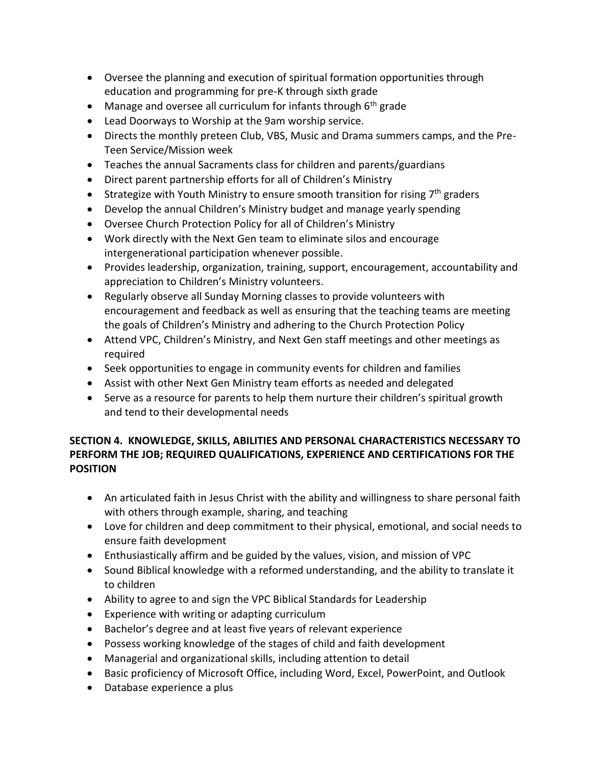- Oversee the planning and execution of spiritual formation opportunities through education and programming for pre-K through sixth grade
- Manage and oversee all curriculum for infants through  $6<sup>th</sup>$  grade
- Lead Doorways to Worship at the 9am worship service.
- Directs the monthly preteen Club, VBS, Music and Drama summers camps, and the Pre-Teen Service/Mission week
- Teaches the annual Sacraments class for children and parents/guardians
- Direct parent partnership efforts for all of Children's Ministry
- Strategize with Youth Ministry to ensure smooth transition for rising  $7<sup>th</sup>$  graders
- Develop the annual Children's Ministry budget and manage yearly spending
- Oversee Church Protection Policy for all of Children's Ministry
- Work directly with the Next Gen team to eliminate silos and encourage intergenerational participation whenever possible.
- Provides leadership, organization, training, support, encouragement, accountability and appreciation to Children's Ministry volunteers.
- Regularly observe all Sunday Morning classes to provide volunteers with encouragement and feedback as well as ensuring that the teaching teams are meeting the goals of Children's Ministry and adhering to the Church Protection Policy
- Attend VPC, Children's Ministry, and Next Gen staff meetings and other meetings as required
- Seek opportunities to engage in community events for children and families
- Assist with other Next Gen Ministry team efforts as needed and delegated
- Serve as a resource for parents to help them nurture their children's spiritual growth and tend to their developmental needs

# **SECTION 4. KNOWLEDGE, SKILLS, ABILITIES AND PERSONAL CHARACTERISTICS NECESSARY TO PERFORM THE JOB; REQUIRED QUALIFICATIONS, EXPERIENCE AND CERTIFICATIONS FOR THE POSITION**

- An articulated faith in Jesus Christ with the ability and willingness to share personal faith with others through example, sharing, and teaching
- Love for children and deep commitment to their physical, emotional, and social needs to ensure faith development
- Enthusiastically affirm and be guided by the values, vision, and mission of VPC
- Sound Biblical knowledge with a reformed understanding, and the ability to translate it to children
- Ability to agree to and sign the VPC Biblical Standards for Leadership
- Experience with writing or adapting curriculum
- Bachelor's degree and at least five years of relevant experience
- Possess working knowledge of the stages of child and faith development
- Managerial and organizational skills, including attention to detail
- Basic proficiency of Microsoft Office, including Word, Excel, PowerPoint, and Outlook
- Database experience a plus